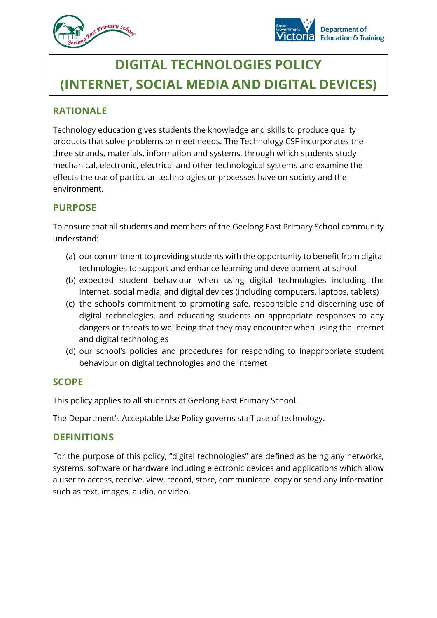



# **DIGITAL TECHNOLOGIES POLICY (INTERNET, SOCIAL MEDIA AND DIGITAL DEVICES)**

# **RATIONALE**

Technology education gives students the knowledge and skills to produce quality products that solve problems or meet needs. The Technology CSF incorporates the three strands, materials, information and systems, through which students study mechanical, electronic, electrical and other technological systems and examine the effects the use of particular technologies or processes have on society and the environment.

# **PURPOSE**

To ensure that all students and members of the Geelong East Primary School community understand:

- (a) our commitment to providing students with the opportunity to benefit from digital technologies to support and enhance learning and development at school
- (b) expected student behaviour when using digital technologies including the internet, social media, and digital devices (including computers, laptops, tablets)
- (c) the school's commitment to promoting safe, responsible and discerning use of digital technologies, and educating students on appropriate responses to any dangers or threats to wellbeing that they may encounter when using the internet and digital technologies
- (d) our school's policies and procedures for responding to inappropriate student behaviour on digital technologies and the internet

## **SCOPE**

This policy applies to all students at Geelong East Primary School.

The Department's Acceptable Use Policy governs staff use of technology.

## **DEFINITIONS**

For the purpose of this policy, "digital technologies" are defined as being any networks, systems, software or hardware including electronic devices and applications which allow a user to access, receive, view, record, store, communicate, copy or send any information such as text, images, audio, or video.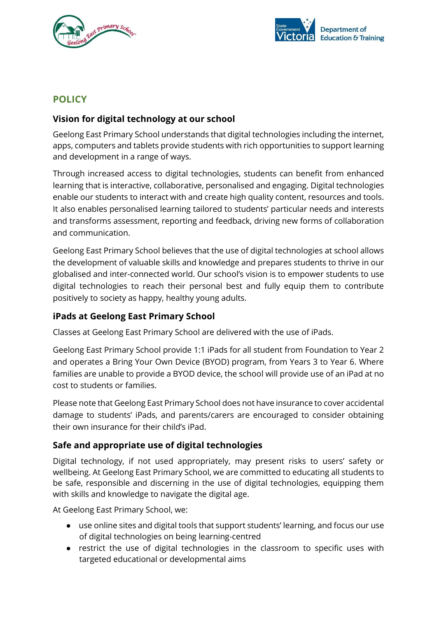



# **POLICY**

## **Vision for digital technology at our school**

Geelong East Primary School understands that digital technologies including the internet, apps, computers and tablets provide students with rich opportunities to support learning and development in a range of ways.

Through increased access to digital technologies, students can benefit from enhanced learning that is interactive, collaborative, personalised and engaging. Digital technologies enable our students to interact with and create high quality content, resources and tools. It also enables personalised learning tailored to students' particular needs and interests and transforms assessment, reporting and feedback, driving new forms of collaboration and communication.

Geelong East Primary School believes that the use of digital technologies at school allows the development of valuable skills and knowledge and prepares students to thrive in our globalised and inter-connected world. Our school's vision is to empower students to use digital technologies to reach their personal best and fully equip them to contribute positively to society as happy, healthy young adults.

#### **iPads at Geelong East Primary School**

Classes at Geelong East Primary School are delivered with the use of iPads.

Geelong East Primary School provide 1:1 iPads for all student from Foundation to Year 2 and operates a Bring Your Own Device (BYOD) program, from Years 3 to Year 6. Where families are unable to provide a BYOD device, the school will provide use of an iPad at no cost to students or families.

Please note that Geelong East Primary School does not have insurance to cover accidental damage to students' iPads, and parents/carers are encouraged to consider obtaining their own insurance for their child's iPad.

#### **Safe and appropriate use of digital technologies**

Digital technology, if not used appropriately, may present risks to users' safety or wellbeing. At Geelong East Primary School, we are committed to educating all students to be safe, responsible and discerning in the use of digital technologies, equipping them with skills and knowledge to navigate the digital age.

At Geelong East Primary School, we:

- use online sites and digital tools that support students' learning, and focus our use of digital technologies on being learning-centred
- restrict the use of digital technologies in the classroom to specific uses with targeted educational or developmental aims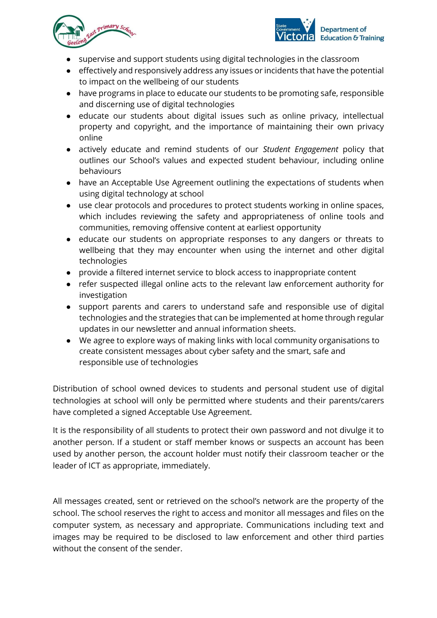



- supervise and support students using digital technologies in the classroom
- effectively and responsively address any issues or incidents that have the potential to impact on the wellbeing of our students
- have programs in place to educate our students to be promoting safe, responsible and discerning use of digital technologies
- educate our students about digital issues such as online privacy, intellectual property and copyright, and the importance of maintaining their own privacy online
- actively educate and remind students of our *Student Engagement* policy that outlines our School's values and expected student behaviour, including online behaviours
- have an Acceptable Use Agreement outlining the expectations of students when using digital technology at school
- use clear protocols and procedures to protect students working in online spaces, which includes reviewing the safety and appropriateness of online tools and communities, removing offensive content at earliest opportunity
- educate our students on appropriate responses to any dangers or threats to wellbeing that they may encounter when using the internet and other digital technologies
- provide a filtered internet service to block access to inappropriate content
- refer suspected illegal online acts to the relevant law enforcement authority for investigation
- support parents and carers to understand safe and responsible use of digital technologies and the strategies that can be implemented at home through regular updates in our newsletter and annual information sheets.
- We agree to explore ways of making links with local community organisations to create consistent messages about cyber safety and the smart, safe and responsible use of technologies

Distribution of school owned devices to students and personal student use of digital technologies at school will only be permitted where students and their parents/carers have completed a signed Acceptable Use Agreement.

It is the responsibility of all students to protect their own password and not divulge it to another person. If a student or staff member knows or suspects an account has been used by another person, the account holder must notify their classroom teacher or the leader of ICT as appropriate, immediately.

All messages created, sent or retrieved on the school's network are the property of the school. The school reserves the right to access and monitor all messages and files on the computer system, as necessary and appropriate. Communications including text and images may be required to be disclosed to law enforcement and other third parties without the consent of the sender.